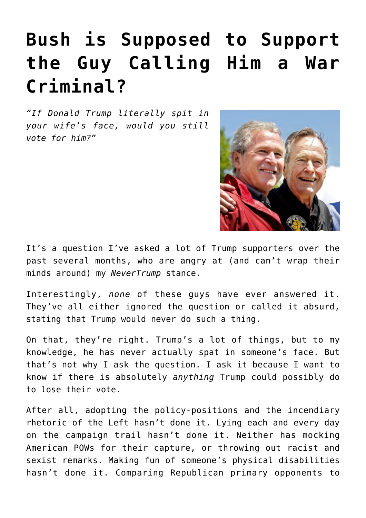## **[Bush is Supposed to Support](https://bernardgoldberg.com/how-can-bush-support-trump/) [the Guy Calling Him a War](https://bernardgoldberg.com/how-can-bush-support-trump/) [Criminal?](https://bernardgoldberg.com/how-can-bush-support-trump/)**

*"If Donald Trump literally spit in your wife's face, would you still vote for him?"*



It's a question I've asked a lot of Trump supporters over the past several months, who are angry at (and can't wrap their minds around) my *NeverTrump* stance.

Interestingly, *none* of these guys have ever answered it. They've all either ignored the question or called it absurd, stating that Trump would never do such a thing.

On that, they're right. Trump's a lot of things, but to my knowledge, he has never actually spat in someone's face. But that's not why I ask the question. I ask it because I want to know if there is absolutely *anything* Trump could possibly do to lose their vote.

After all, adopting the policy-positions and the incendiary rhetoric of the Left hasn't done it. Lying each and every day on the campaign trail hasn't done it. Neither has mocking American POWs for their capture, or throwing out [racist](http://bernardgoldberg.com/no-more-benefits-of-the-doubt-on-trumps-racism/) and sexist remarks. Making fun of someone's physical disabilities hasn't done it. Comparing Republican primary opponents to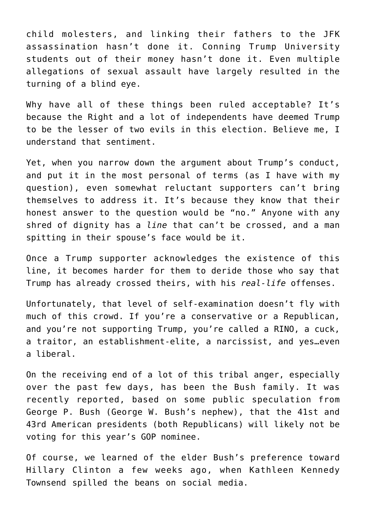child molesters, and linking their fathers to the JFK assassination hasn't done it. Conning Trump University students out of their money hasn't done it. Even multiple allegations of sexual assault have largely resulted in the turning of a blind eye.

Why have all of these things been ruled acceptable? It's because the Right and a lot of independents have deemed Trump to be the lesser of two evils in this election. Believe me, I understand that sentiment.

Yet, when you narrow down the argument about Trump's conduct, and put it in the most personal of terms (as I have with my question), even somewhat reluctant supporters can't bring themselves to address it. It's because they know that their honest answer to the question would be "no." Anyone with any shred of dignity has a *line* that can't be crossed, and a man spitting in their spouse's face would be it.

Once a Trump supporter acknowledges the existence of this line, it becomes harder for them to deride those who say that Trump has already crossed theirs, with his *real-life* offenses.

Unfortunately, that level of self-examination doesn't fly with much of this crowd. If you're a conservative or a Republican, and you're not supporting Trump, you're called a RINO, a cuck, a traitor, an establishment-elite, a narcissist, and yes…even a liberal.

On the receiving end of a lot of this tribal anger, especially over the past few days, has been the Bush family. It was [recently reported,](http://www.foxnews.com/politics/2016/11/03/bushes-abandon-trump-but-hes-running-against-gop-brand-not-just-clinton.html) based on some public speculation from George P. Bush (George W. Bush's nephew), that the 41st and 43rd American presidents (both Republicans) will likely not be voting for this year's GOP nominee.

Of course, we learned of the elder Bush's preference toward Hillary Clinton a few weeks ago, when Kathleen Kennedy Townsend spilled the beans on social media.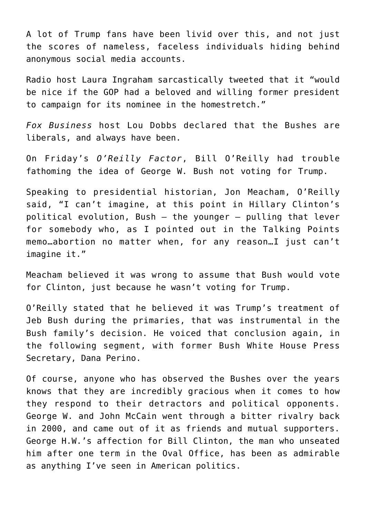A lot of Trump fans have been livid over this, and not just the scores of nameless, faceless individuals hiding behind anonymous social media accounts.

Radio host Laura Ingraham sarcastically [tweeted](https://twitter.com/IngrahamAngle/status/794357744505683968) that it "would be nice if the GOP had a beloved and willing former president to campaign for its nominee in the homestretch."

*Fox Business* host Lou Dobbs [declared](https://twitter.com/LouDobbs/status/794221980002164736) that the Bushes are liberals, and always have been.

On Friday's *O'Reilly Factor*, Bill O'Reilly had trouble fathoming the idea of George W. Bush not voting for Trump.

Speaking to presidential historian, Jon Meacham, O'Reilly said, "I can't imagine, at this point in Hillary Clinton's political evolution, Bush — the younger — pulling that lever for somebody who, as I pointed out in the Talking Points memo…abortion no matter when, for any reason…I just can't imagine it."

Meacham believed it was wrong to assume that Bush would vote for Clinton, just because he wasn't voting for Trump.

O'Reilly stated that he believed it was Trump's treatment of Jeb Bush during the primaries, that was instrumental in the Bush family's decision. He voiced that conclusion again, in the following segment, with former Bush White House Press Secretary, Dana Perino.

Of course, anyone who has observed the Bushes over the years knows that they are incredibly gracious when it comes to how they respond to their detractors and political opponents. George W. and John McCain went through a bitter rivalry back in 2000, and came out of it as friends and mutual supporters. George H.W.'s affection for Bill Clinton, the man who unseated him after one term in the Oval Office, has been as admirable as anything I've seen in American politics.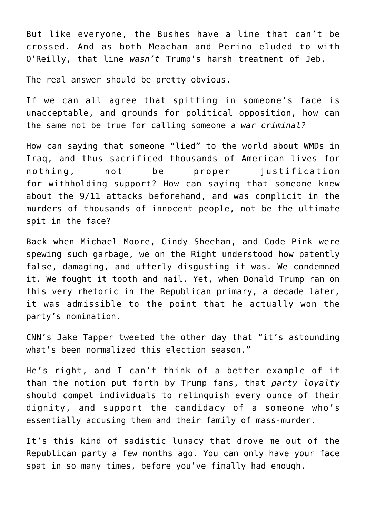But like everyone, the Bushes have a line that can't be crossed. And as both Meacham and Perino eluded to with O'Reilly, that line *wasn't* Trump's harsh treatment of Jeb.

The real answer should be pretty obvious.

If we can all agree that spitting in someone's face is unacceptable, and grounds for political opposition, how can the same not be true for calling someone a *war criminal?*

How can saying that someone "lied" to the world about WMDs in Iraq, and thus sacrificed thousands of American lives for nothing, not be proper justification for withholding support? How can saying that someone knew about the 9/11 attacks beforehand, and was complicit in the murders of thousands of innocent people, not be the ultimate spit in the face?

Back when Michael Moore, Cindy Sheehan, and Code Pink were spewing such garbage, we on the Right understood how patently false, damaging, and utterly disgusting it was. We condemned it. We fought it tooth and nail. Yet, when Donald Trump ran on this very rhetoric in the Republican primary, a decade later, it was admissible to the point that he actually won the party's nomination.

CNN's Jake Tapper tweeted the other day that "it's astounding what's been normalized this election season."

He's right, and I can't think of a better example of it than the notion put forth by Trump fans, that *party loyalty* should compel individuals to relinquish every ounce of their dignity, and support the candidacy of a someone who's essentially accusing them and their family of mass-murder.

It's this kind of sadistic lunacy that drove me out of the Republican party a few months ago. You can only have your face spat in so many times, before you've finally had enough.